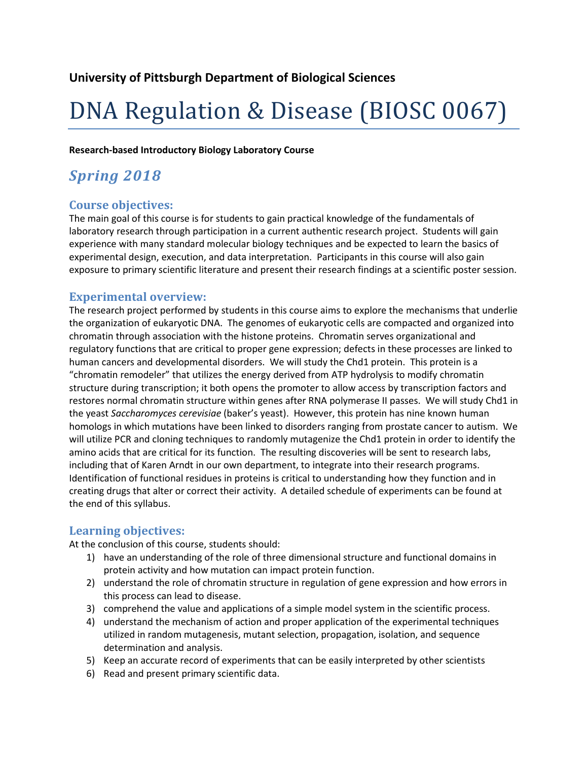# DNA Regulation & Disease (BIOSC 0067)

**Research-based Introductory Biology Laboratory Course**

### *Spring 2018*

#### **Course objectives:**

The main goal of this course is for students to gain practical knowledge of the fundamentals of laboratory research through participation in a current authentic research project. Students will gain experience with many standard molecular biology techniques and be expected to learn the basics of experimental design, execution, and data interpretation. Participants in this course will also gain exposure to primary scientific literature and present their research findings at a scientific poster session.

#### **Experimental overview:**

The research project performed by students in this course aims to explore the mechanisms that underlie the organization of eukaryotic DNA. The genomes of eukaryotic cells are compacted and organized into chromatin through association with the histone proteins. Chromatin serves organizational and regulatory functions that are critical to proper gene expression; defects in these processes are linked to human cancers and developmental disorders. We will study the Chd1 protein. This protein is a "chromatin remodeler" that utilizes the energy derived from ATP hydrolysis to modify chromatin structure during transcription; it both opens the promoter to allow access by transcription factors and restores normal chromatin structure within genes after RNA polymerase II passes. We will study Chd1 in the yeast *Saccharomyces cerevisiae* (baker's yeast). However, this protein has nine known human homologs in which mutations have been linked to disorders ranging from prostate cancer to autism. We will utilize PCR and cloning techniques to randomly mutagenize the Chd1 protein in order to identify the amino acids that are critical for its function. The resulting discoveries will be sent to research labs, including that of Karen Arndt in our own department, to integrate into their research programs. Identification of functional residues in proteins is critical to understanding how they function and in creating drugs that alter or correct their activity. A detailed schedule of experiments can be found at the end of this syllabus.

#### **Learning objectives:**

At the conclusion of this course, students should:

- 1) have an understanding of the role of three dimensional structure and functional domains in protein activity and how mutation can impact protein function.
- 2) understand the role of chromatin structure in regulation of gene expression and how errors in this process can lead to disease.
- 3) comprehend the value and applications of a simple model system in the scientific process.
- 4) understand the mechanism of action and proper application of the experimental techniques utilized in random mutagenesis, mutant selection, propagation, isolation, and sequence determination and analysis.
- 5) Keep an accurate record of experiments that can be easily interpreted by other scientists
- 6) Read and present primary scientific data.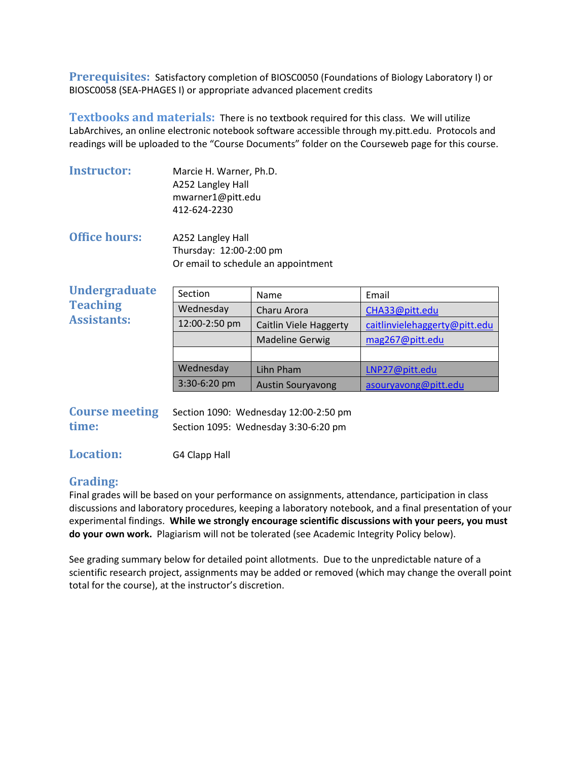**Prerequisites:** Satisfactory completion of BIOSC0050 (Foundations of Biology Laboratory I) or BIOSC0058 (SEA-PHAGES I) or appropriate advanced placement credits

**Textbooks and materials:** There is no textbook required for this class. We will utilize LabArchives, an online electronic notebook software accessible through my.pitt.edu. Protocols and readings will be uploaded to the "Course Documents" folder on the Courseweb page for this course.

| <b>Instructor:</b> | Marcie H. Warner, Ph.D. |
|--------------------|-------------------------|
|                    | A252 Langley Hall       |
|                    | mwarner1@pitt.edu       |
|                    | 412-624-2230            |

**Office hours:** A252 Langley Hall Thursday: 12:00-2:00 pm Or email to schedule an appointment

| <b>Undergraduate</b> | Section       | Name                     | Email                         |
|----------------------|---------------|--------------------------|-------------------------------|
| <b>Teaching</b>      | Wednesday     | Charu Arora              | CHA33@pitt.edu                |
| <b>Assistants:</b>   | 12:00-2:50 pm | Caitlin Viele Haggerty   | caitlinvielehaggerty@pitt.edu |
|                      |               | <b>Madeline Gerwig</b>   | mag267@pitt.edu               |
|                      |               |                          |                               |
|                      | Wednesday     | Lihn Pham                | LNP27@pitt.edu                |
|                      | 3:30-6:20 pm  | <b>Austin Souryavong</b> | asouryavong@pitt.edu          |
|                      |               |                          |                               |

| <b>Course meeting</b> | Section 1090: Wednesday 12:00-2:50 pm |
|-----------------------|---------------------------------------|
| time:                 | Section 1095: Wednesday 3:30-6:20 pm  |

**Location:** G4 Clapp Hall

#### **Grading:**

Final grades will be based on your performance on assignments, attendance, participation in class discussions and laboratory procedures, keeping a laboratory notebook, and a final presentation of your experimental findings. **While we strongly encourage scientific discussions with your peers, you must do your own work.** Plagiarism will not be tolerated (see Academic Integrity Policy below).

See grading summary below for detailed point allotments. Due to the unpredictable nature of a scientific research project, assignments may be added or removed (which may change the overall point total for the course), at the instructor's discretion.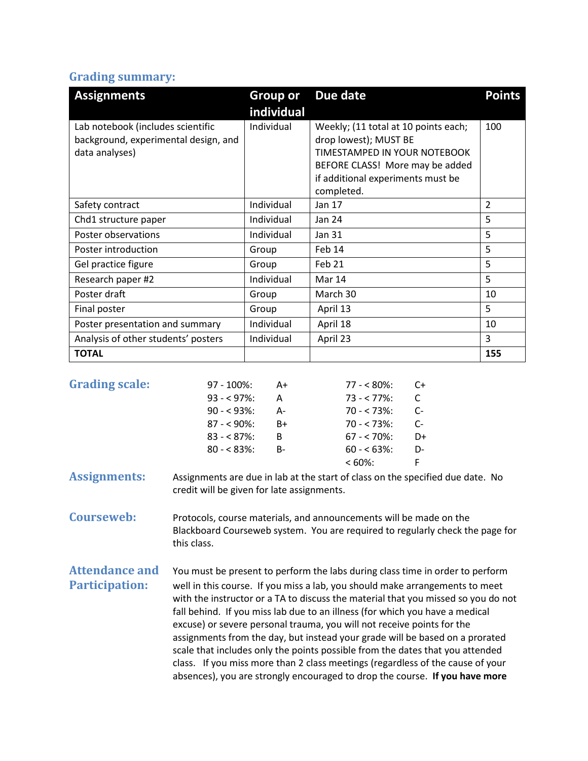#### **Grading summary:**

| <b>Assignments</b>                                                                          | <b>Group or</b> | Due date                                                                                                                                                                            | <b>Points</b>  |
|---------------------------------------------------------------------------------------------|-----------------|-------------------------------------------------------------------------------------------------------------------------------------------------------------------------------------|----------------|
|                                                                                             | individual      |                                                                                                                                                                                     |                |
| Lab notebook (includes scientific<br>background, experimental design, and<br>data analyses) | Individual      | Weekly; (11 total at 10 points each;<br>drop lowest); MUST BE<br>TIMESTAMPED IN YOUR NOTEBOOK<br>BEFORE CLASS! More may be added<br>if additional experiments must be<br>completed. | 100            |
| Safety contract                                                                             | Individual      | Jan 17                                                                                                                                                                              | $\overline{2}$ |
| Chd1 structure paper                                                                        | Individual      | Jan 24                                                                                                                                                                              | 5              |
| Poster observations                                                                         | Individual      | Jan 31                                                                                                                                                                              | 5              |
| Poster introduction                                                                         | Group           | Feb 14                                                                                                                                                                              | 5              |
| Gel practice figure                                                                         | Group           | Feb 21                                                                                                                                                                              | 5              |
| Research paper #2                                                                           | Individual      | Mar 14                                                                                                                                                                              | 5              |
| Poster draft                                                                                | Group           | March 30                                                                                                                                                                            | 10             |
| Final poster                                                                                | Group           | April 13                                                                                                                                                                            | 5              |
| Poster presentation and summary                                                             | Individual      | April 18                                                                                                                                                                            | 10             |
| Analysis of other students' posters                                                         | Individual      | April 23                                                                                                                                                                            | 3              |
| <b>TOTAL</b>                                                                                |                 |                                                                                                                                                                                     | 155            |

| <b>Grading scale:</b>                                                                                             | $97 - 100\%$ : | A+        | $77 - 580\%$  | $C+$ |
|-------------------------------------------------------------------------------------------------------------------|----------------|-----------|---------------|------|
|                                                                                                                   | $93 - 97\%$ :  | A         | $73 - 77\%$ : | C.   |
|                                                                                                                   | $90 - 93\%$    | А-        | $70 - 573\%$  | C-   |
|                                                                                                                   | $87 - 90\%$ :  | B+        | $70 - 573\%$  | $C-$ |
|                                                                                                                   | $83 - 87\%$    | B         | $67 - 70\%$ : | D+   |
|                                                                                                                   | $80 - 83\%$    | <b>B-</b> | $60 - 63\%$   | D-   |
|                                                                                                                   |                |           | $<60\%$ :     |      |
| . An analysis and a series of the contract of the contract of the contract of the contract of the contract of the |                |           |               |      |

**Assignments:** Assignments are due in lab at the start of class on the specified due date. No credit will be given for late assignments.

**Courseweb:** Protocols, course materials, and announcements will be made on the Blackboard Courseweb system. You are required to regularly check the page for this class.

**Attendance and** You must be present to perform the labs during class time in order to perform Participation: well in this course. If you miss a lab, you should make arrangements to meet with the instructor or a TA to discuss the material that you missed so you do not fall behind. If you miss lab due to an illness (for which you have a medical excuse) or severe personal trauma, you will not receive points for the assignments from the day, but instead your grade will be based on a prorated scale that includes only the points possible from the dates that you attended class. If you miss more than 2 class meetings (regardless of the cause of your absences), you are strongly encouraged to drop the course. **If you have more**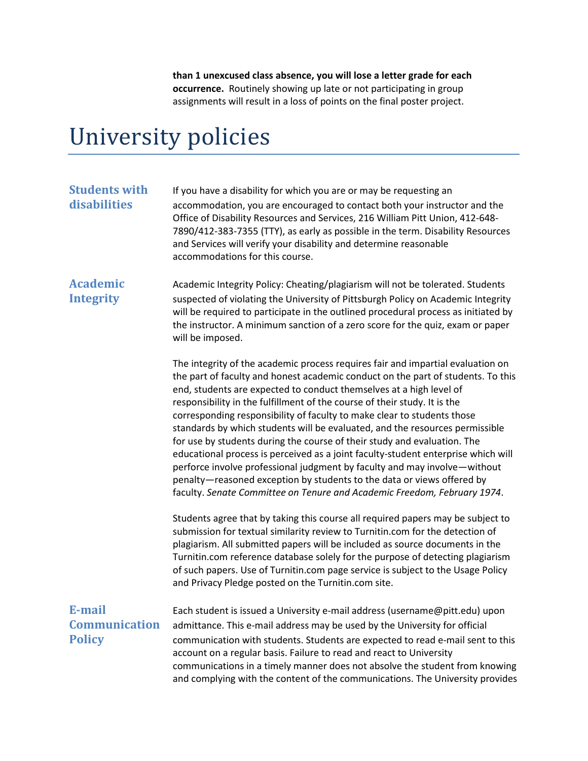**than 1 unexcused class absence, you will lose a letter grade for each occurrence.** Routinely showing up late or not participating in group assignments will result in a loss of points on the final poster project.

### University policies

| <b>Students with</b><br>disabilities            | If you have a disability for which you are or may be requesting an<br>accommodation, you are encouraged to contact both your instructor and the<br>Office of Disability Resources and Services, 216 William Pitt Union, 412-648-<br>7890/412-383-7355 (TTY), as early as possible in the term. Disability Resources<br>and Services will verify your disability and determine reasonable<br>accommodations for this course.                                                                                                                                                                                                                                                                                                                                                                                                                                                                                                                                                                                                                                                                                                                |
|-------------------------------------------------|--------------------------------------------------------------------------------------------------------------------------------------------------------------------------------------------------------------------------------------------------------------------------------------------------------------------------------------------------------------------------------------------------------------------------------------------------------------------------------------------------------------------------------------------------------------------------------------------------------------------------------------------------------------------------------------------------------------------------------------------------------------------------------------------------------------------------------------------------------------------------------------------------------------------------------------------------------------------------------------------------------------------------------------------------------------------------------------------------------------------------------------------|
| <b>Academic</b><br><b>Integrity</b>             | Academic Integrity Policy: Cheating/plagiarism will not be tolerated. Students<br>suspected of violating the University of Pittsburgh Policy on Academic Integrity<br>will be required to participate in the outlined procedural process as initiated by<br>the instructor. A minimum sanction of a zero score for the quiz, exam or paper<br>will be imposed.                                                                                                                                                                                                                                                                                                                                                                                                                                                                                                                                                                                                                                                                                                                                                                             |
|                                                 | The integrity of the academic process requires fair and impartial evaluation on<br>the part of faculty and honest academic conduct on the part of students. To this<br>end, students are expected to conduct themselves at a high level of<br>responsibility in the fulfillment of the course of their study. It is the<br>corresponding responsibility of faculty to make clear to students those<br>standards by which students will be evaluated, and the resources permissible<br>for use by students during the course of their study and evaluation. The<br>educational process is perceived as a joint faculty-student enterprise which will<br>perforce involve professional judgment by faculty and may involve-without<br>penalty-reasoned exception by students to the data or views offered by<br>faculty. Senate Committee on Tenure and Academic Freedom, February 1974.<br>Students agree that by taking this course all required papers may be subject to<br>submission for textual similarity review to Turnitin.com for the detection of<br>plagiarism. All submitted papers will be included as source documents in the |
|                                                 | Turnitin.com reference database solely for the purpose of detecting plagiarism<br>of such papers. Use of Turnitin.com page service is subject to the Usage Policy<br>and Privacy Pledge posted on the Turnitin.com site.                                                                                                                                                                                                                                                                                                                                                                                                                                                                                                                                                                                                                                                                                                                                                                                                                                                                                                                   |
| E-mail<br><b>Communication</b><br><b>Policy</b> | Each student is issued a University e-mail address (username@pitt.edu) upon<br>admittance. This e-mail address may be used by the University for official<br>communication with students. Students are expected to read e-mail sent to this<br>account on a regular basis. Failure to read and react to University<br>communications in a timely manner does not absolve the student from knowing<br>and complying with the content of the communications. The University provides                                                                                                                                                                                                                                                                                                                                                                                                                                                                                                                                                                                                                                                         |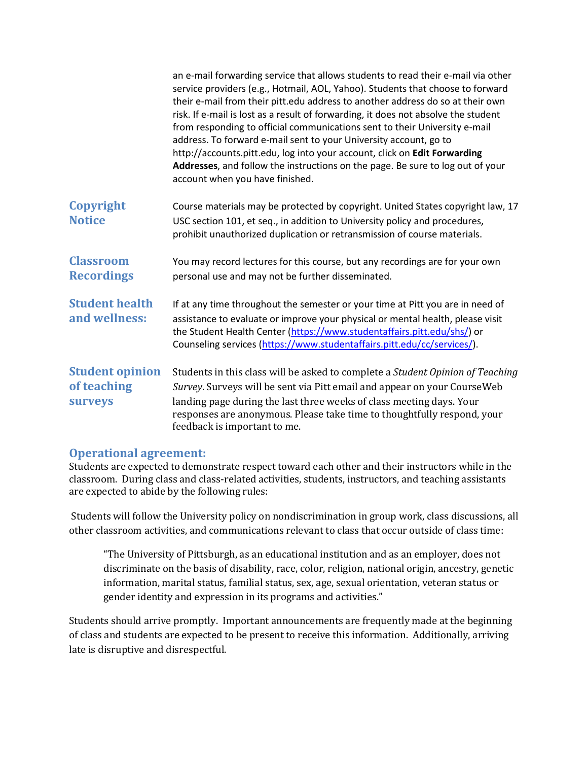|                                                         | an e-mail forwarding service that allows students to read their e-mail via other<br>service providers (e.g., Hotmail, AOL, Yahoo). Students that choose to forward<br>their e-mail from their pitt.edu address to another address do so at their own<br>risk. If e-mail is lost as a result of forwarding, it does not absolve the student<br>from responding to official communications sent to their University e-mail<br>address. To forward e-mail sent to your University account, go to<br>http://accounts.pitt.edu, log into your account, click on Edit Forwarding<br>Addresses, and follow the instructions on the page. Be sure to log out of your<br>account when you have finished. |
|---------------------------------------------------------|-------------------------------------------------------------------------------------------------------------------------------------------------------------------------------------------------------------------------------------------------------------------------------------------------------------------------------------------------------------------------------------------------------------------------------------------------------------------------------------------------------------------------------------------------------------------------------------------------------------------------------------------------------------------------------------------------|
| Copyright<br><b>Notice</b>                              | Course materials may be protected by copyright. United States copyright law, 17<br>USC section 101, et seq., in addition to University policy and procedures,<br>prohibit unauthorized duplication or retransmission of course materials.                                                                                                                                                                                                                                                                                                                                                                                                                                                       |
| <b>Classroom</b><br><b>Recordings</b>                   | You may record lectures for this course, but any recordings are for your own<br>personal use and may not be further disseminated.                                                                                                                                                                                                                                                                                                                                                                                                                                                                                                                                                               |
| <b>Student health</b><br>and wellness:                  | If at any time throughout the semester or your time at Pitt you are in need of<br>assistance to evaluate or improve your physical or mental health, please visit<br>the Student Health Center (https://www.studentaffairs.pitt.edu/shs/) or<br>Counseling services (https://www.studentaffairs.pitt.edu/cc/services/).                                                                                                                                                                                                                                                                                                                                                                          |
| <b>Student opinion</b><br>of teaching<br><b>Surveys</b> | Students in this class will be asked to complete a Student Opinion of Teaching<br>Survey. Surveys will be sent via Pitt email and appear on your CourseWeb<br>landing page during the last three weeks of class meeting days. Your<br>responses are anonymous. Please take time to thoughtfully respond, your<br>feedback is important to me.                                                                                                                                                                                                                                                                                                                                                   |

#### **Operational agreement:**

Students are expected to demonstrate respect toward each other and their instructors while in the classroom. During class and class-related activities, students, instructors, and teaching assistants are expected to abide by the following rules:

Students will follow the University policy on nondiscrimination in group work, class discussions, all other classroom activities, and communications relevant to class that occur outside of class time:

"The University of Pittsburgh, as an educational institution and as an employer, does not discriminate on the basis of disability, race, color, religion, national origin, ancestry, genetic information, marital status, familial status, sex, age, sexual orientation, veteran status or gender identity and expression in its programs and activities."

Students should arrive promptly. Important announcements are frequently made at the beginning of class and students are expected to be present to receive this information. Additionally, arriving late is disruptive and disrespectful.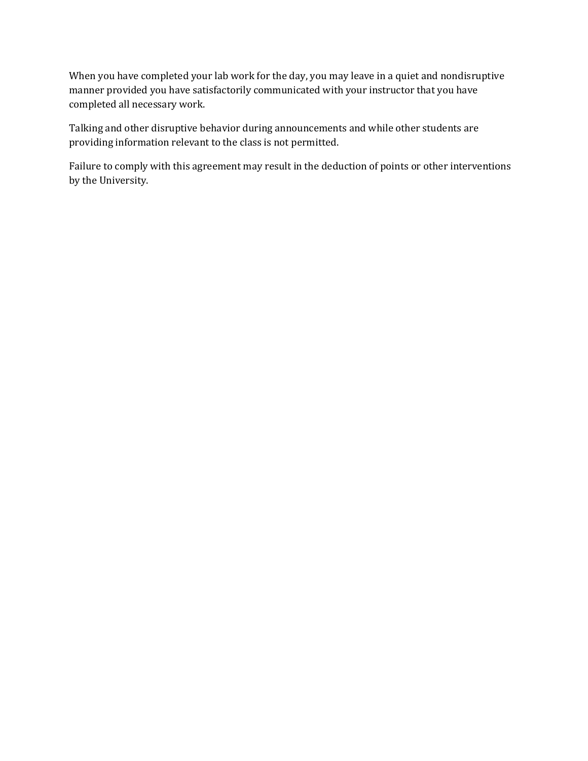When you have completed your lab work for the day, you may leave in a quiet and nondisruptive manner provided you have satisfactorily communicated with your instructor that you have completed all necessary work.

Talking and other disruptive behavior during announcements and while other students are providing information relevant to the class is not permitted.

Failure to comply with this agreement may result in the deduction of points or other interventions by the University.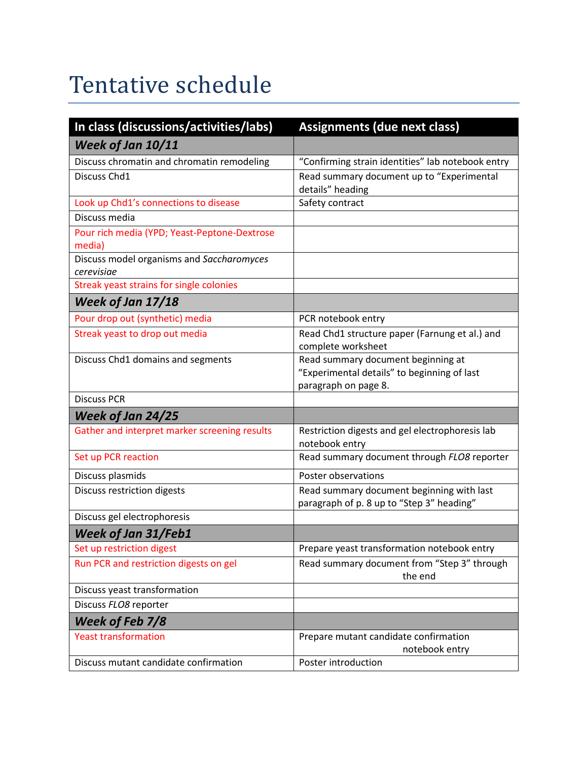# Tentative schedule

| In class (discussions/activities/labs)                  | <b>Assignments (due next class)</b>                                                                       |
|---------------------------------------------------------|-----------------------------------------------------------------------------------------------------------|
| Week of Jan 10/11                                       |                                                                                                           |
| Discuss chromatin and chromatin remodeling              | "Confirming strain identities" lab notebook entry                                                         |
| Discuss Chd1                                            | Read summary document up to "Experimental<br>details" heading                                             |
| Look up Chd1's connections to disease                   | Safety contract                                                                                           |
| Discuss media                                           |                                                                                                           |
| Pour rich media (YPD; Yeast-Peptone-Dextrose<br>media)  |                                                                                                           |
| Discuss model organisms and Saccharomyces<br>cerevisiae |                                                                                                           |
| Streak yeast strains for single colonies                |                                                                                                           |
| Week of Jan 17/18                                       |                                                                                                           |
| Pour drop out (synthetic) media                         | PCR notebook entry                                                                                        |
| Streak yeast to drop out media                          | Read Chd1 structure paper (Farnung et al.) and<br>complete worksheet                                      |
| Discuss Chd1 domains and segments                       | Read summary document beginning at<br>"Experimental details" to beginning of last<br>paragraph on page 8. |
| <b>Discuss PCR</b>                                      |                                                                                                           |
| Week of Jan 24/25                                       |                                                                                                           |
| Gather and interpret marker screening results           | Restriction digests and gel electrophoresis lab<br>notebook entry                                         |
| Set up PCR reaction                                     | Read summary document through FLO8 reporter                                                               |
| Discuss plasmids                                        | Poster observations                                                                                       |
| Discuss restriction digests                             | Read summary document beginning with last<br>paragraph of p. 8 up to "Step 3" heading"                    |
| Discuss gel electrophoresis                             |                                                                                                           |
| Week of Jan 31/Feb1                                     |                                                                                                           |
| Set up restriction digest                               | Prepare yeast transformation notebook entry                                                               |
| Run PCR and restriction digests on gel                  | Read summary document from "Step 3" through<br>the end                                                    |
| Discuss yeast transformation                            |                                                                                                           |
| Discuss FLO8 reporter                                   |                                                                                                           |
| Week of Feb 7/8                                         |                                                                                                           |
| <b>Yeast transformation</b>                             | Prepare mutant candidate confirmation<br>notebook entry                                                   |
| Discuss mutant candidate confirmation                   | Poster introduction                                                                                       |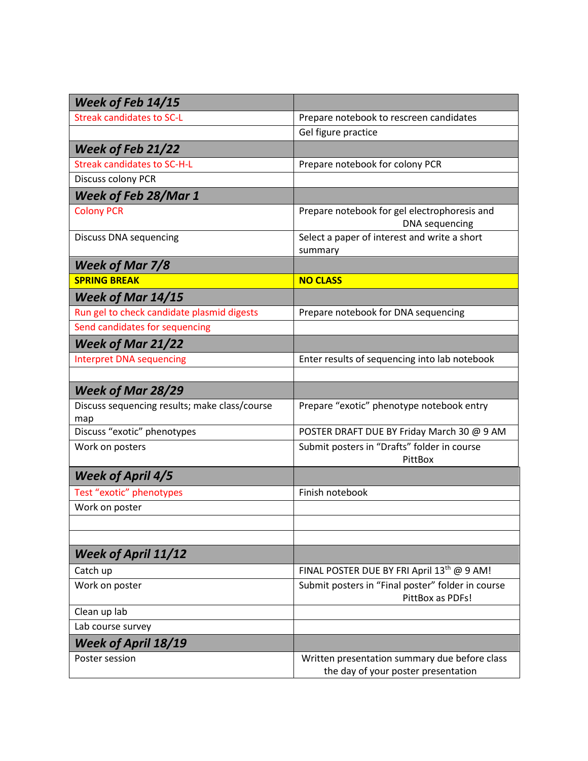| Week of Feb 14/15                             |                                                                                      |
|-----------------------------------------------|--------------------------------------------------------------------------------------|
| Streak candidates to SC-L                     | Prepare notebook to rescreen candidates                                              |
|                                               | Gel figure practice                                                                  |
| <b>Week of Feb 21/22</b>                      |                                                                                      |
| <b>Streak candidates to SC-H-L</b>            | Prepare notebook for colony PCR                                                      |
| Discuss colony PCR                            |                                                                                      |
| <b>Week of Feb 28/Mar 1</b>                   |                                                                                      |
| <b>Colony PCR</b>                             | Prepare notebook for gel electrophoresis and<br><b>DNA</b> sequencing                |
| <b>Discuss DNA sequencing</b>                 | Select a paper of interest and write a short<br>summary                              |
| <b>Week of Mar 7/8</b>                        |                                                                                      |
| <b>SPRING BREAK</b>                           | <b>NO CLASS</b>                                                                      |
| Week of Mar 14/15                             |                                                                                      |
| Run gel to check candidate plasmid digests    | Prepare notebook for DNA sequencing                                                  |
| Send candidates for sequencing                |                                                                                      |
| <b>Week of Mar 21/22</b>                      |                                                                                      |
| <b>Interpret DNA sequencing</b>               | Enter results of sequencing into lab notebook                                        |
|                                               |                                                                                      |
| <b>Week of Mar 28/29</b>                      |                                                                                      |
| Discuss sequencing results; make class/course | Prepare "exotic" phenotype notebook entry                                            |
| map                                           |                                                                                      |
| Discuss "exotic" phenotypes                   | POSTER DRAFT DUE BY Friday March 30 @ 9 AM                                           |
| Work on posters                               | Submit posters in "Drafts" folder in course<br>PittBox                               |
| <b>Week of April 4/5</b>                      |                                                                                      |
| Test "exotic" phenotypes                      | Finish notebook                                                                      |
| Work on poster                                |                                                                                      |
|                                               |                                                                                      |
|                                               |                                                                                      |
| <b>Week of April 11/12</b>                    |                                                                                      |
| Catch up                                      | FINAL POSTER DUE BY FRI April 13th @ 9 AM!                                           |
| Work on poster                                | Submit posters in "Final poster" folder in course<br>PittBox as PDFs!                |
| Clean up lab                                  |                                                                                      |
| Lab course survey                             |                                                                                      |
| <b>Week of April 18/19</b>                    |                                                                                      |
| Poster session                                | Written presentation summary due before class<br>the day of your poster presentation |